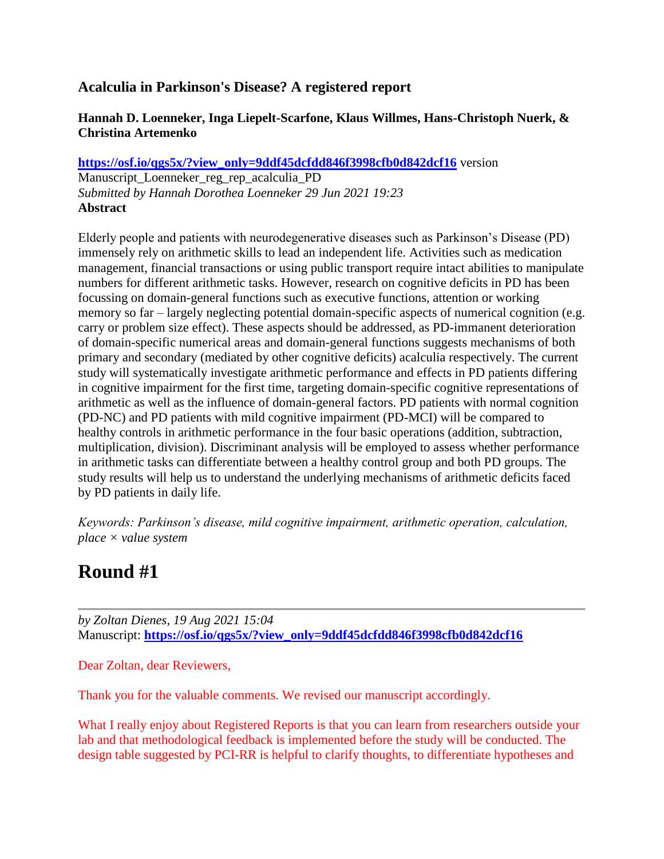# **Acalculia in Parkinson's Disease? A registered report**

## **Hannah D. Loenneker, Inga Liepelt-Scarfone, Klaus Willmes, Hans-Christoph Nuerk, & Christina Artemenko**

**[https://osf.io/qgs5x/?view\\_only=9ddf45dcfdd846f3998cfb0d842dcf16](https://osf.io/qgs5x/?view_only=9ddf45dcfdd846f3998cfb0d842dcf16)** version Manuscript\_Loenneker\_reg\_rep\_acalculia\_PD *Submitted by Hannah Dorothea Loenneker 29 Jun 2021 19:23* **Abstract**

Elderly people and patients with neurodegenerative diseases such as Parkinson's Disease (PD) immensely rely on arithmetic skills to lead an independent life. Activities such as medication management, financial transactions or using public transport require intact abilities to manipulate numbers for different arithmetic tasks. However, research on cognitive deficits in PD has been focussing on domain-general functions such as executive functions, attention or working memory so far – largely neglecting potential domain-specific aspects of numerical cognition (e.g. carry or problem size effect). These aspects should be addressed, as PD-immanent deterioration of domain-specific numerical areas and domain-general functions suggests mechanisms of both primary and secondary (mediated by other cognitive deficits) acalculia respectively. The current study will systematically investigate arithmetic performance and effects in PD patients differing in cognitive impairment for the first time, targeting domain-specific cognitive representations of arithmetic as well as the influence of domain-general factors. PD patients with normal cognition (PD-NC) and PD patients with mild cognitive impairment (PD-MCI) will be compared to healthy controls in arithmetic performance in the four basic operations (addition, subtraction, multiplication, division). Discriminant analysis will be employed to assess whether performance in arithmetic tasks can differentiate between a healthy control group and both PD groups. The study results will help us to understand the underlying mechanisms of arithmetic deficits faced by PD patients in daily life.

*Keywords: Parkinson's disease, mild cognitive impairment, arithmetic operation, calculation, place × value system*

# **Round #1**

*by Zoltan Dienes, 19 Aug 2021 15:04* Manuscript: **[https://osf.io/qgs5x/?view\\_only=9ddf45dcfdd846f3998cfb0d842dcf16](https://osf.io/qgs5x/?view_only=9ddf45dcfdd846f3998cfb0d842dcf16)**

Dear Zoltan, dear Reviewers,

Thank you for the valuable comments. We revised our manuscript accordingly.

What I really enjoy about Registered Reports is that you can learn from researchers outside your lab and that methodological feedback is implemented before the study will be conducted. The design table suggested by PCI-RR is helpful to clarify thoughts, to differentiate hypotheses and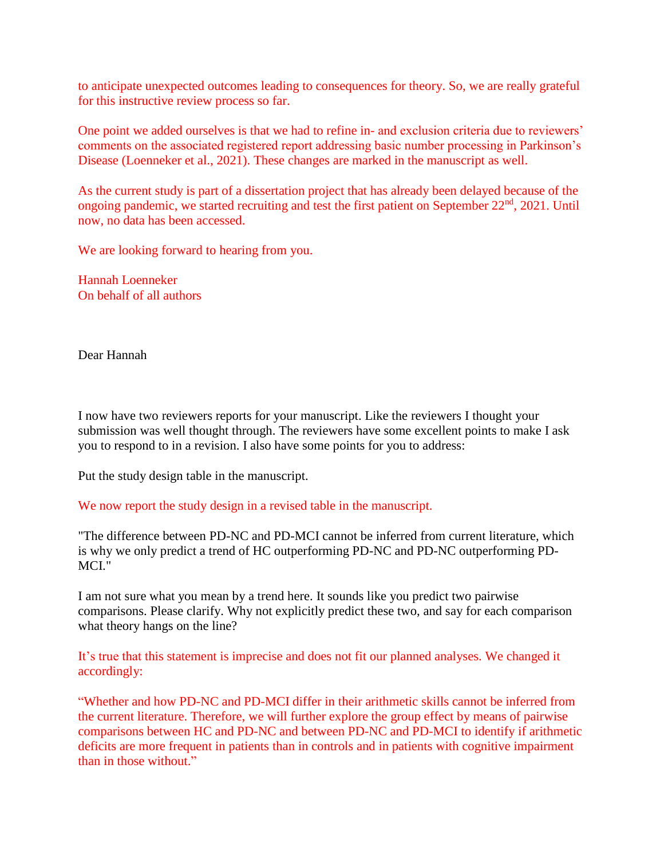to anticipate unexpected outcomes leading to consequences for theory. So, we are really grateful for this instructive review process so far.

One point we added ourselves is that we had to refine in- and exclusion criteria due to reviewers' comments on the associated registered report addressing basic number processing in Parkinson's Disease (Loenneker et al., 2021). These changes are marked in the manuscript as well.

As the current study is part of a dissertation project that has already been delayed because of the ongoing pandemic, we started recruiting and test the first patient on September 22<sup>nd</sup>, 2021. Until now, no data has been accessed.

We are looking forward to hearing from you.

Hannah Loenneker On behalf of all authors

Dear Hannah

I now have two reviewers reports for your manuscript. Like the reviewers I thought your submission was well thought through. The reviewers have some excellent points to make I ask you to respond to in a revision. I also have some points for you to address:

Put the study design table in the manuscript.

We now report the study design in a revised table in the manuscript.

"The difference between PD-NC and PD-MCI cannot be inferred from current literature, which is why we only predict a trend of HC outperforming PD-NC and PD-NC outperforming PD-MCI."

I am not sure what you mean by a trend here. It sounds like you predict two pairwise comparisons. Please clarify. Why not explicitly predict these two, and say for each comparison what theory hangs on the line?

It's true that this statement is imprecise and does not fit our planned analyses. We changed it accordingly:

"Whether and how PD-NC and PD-MCI differ in their arithmetic skills cannot be inferred from the current literature. Therefore, we will further explore the group effect by means of pairwise comparisons between HC and PD-NC and between PD-NC and PD-MCI to identify if arithmetic deficits are more frequent in patients than in controls and in patients with cognitive impairment than in those without."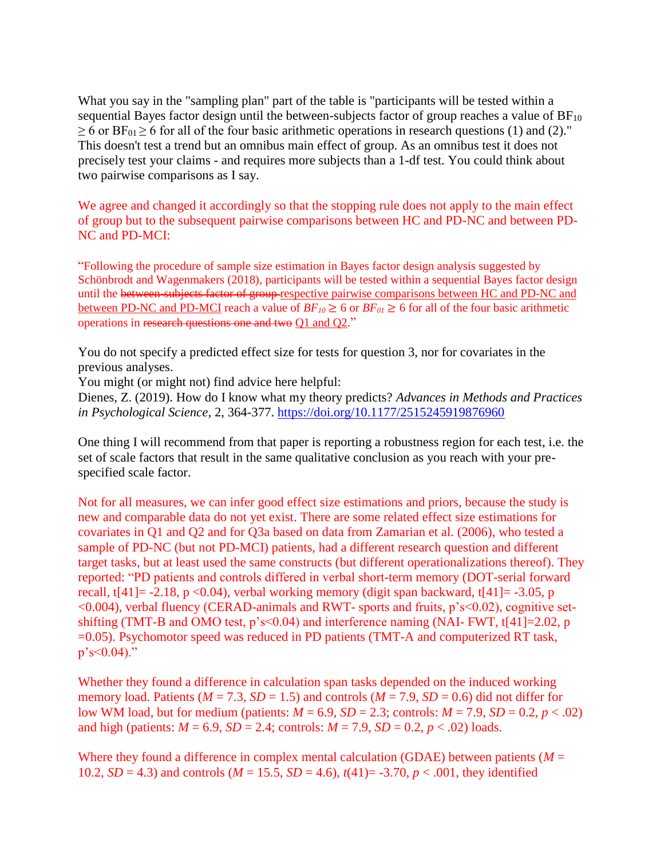What you say in the "sampling plan" part of the table is "participants will be tested within a sequential Bayes factor design until the between-subjects factor of group reaches a value of  $BF_{10}$  $\geq$  6 or BF<sub>01</sub> $\geq$  6 for all of the four basic arithmetic operations in research questions (1) and (2)." This doesn't test a trend but an omnibus main effect of group. As an omnibus test it does not precisely test your claims - and requires more subjects than a 1-df test. You could think about two pairwise comparisons as I say.

We agree and changed it accordingly so that the stopping rule does not apply to the main effect of group but to the subsequent pairwise comparisons between HC and PD-NC and between PD-NC and PD-MCI:

"Following the procedure of sample size estimation in Bayes factor design analysis suggested by Schönbrodt and Wagenmakers (2018), participants will be tested within a sequential Bayes factor design until the between-subjects factor of group-respective pairwise comparisons between HC and PD-NC and between PD-NC and PD-MCI reach a value of  $BF_{10} \ge 6$  or  $BF_{01} \ge 6$  for all of the four basic arithmetic operations in research questions one and two Q1 and Q2."

You do not specify a predicted effect size for tests for question 3, nor for covariates in the previous analyses.

You might (or might not) find advice here helpful:

Dienes, Z. (2019). How do I know what my theory predicts? *Advances in Methods and Practices in Psychological Science*, 2, 364-377.<https://doi.org/10.1177/2515245919876960>

One thing I will recommend from that paper is reporting a robustness region for each test, i.e. the set of scale factors that result in the same qualitative conclusion as you reach with your prespecified scale factor.

Not for all measures, we can infer good effect size estimations and priors, because the study is new and comparable data do not yet exist. There are some related effect size estimations for covariates in Q1 and Q2 and for Q3a based on data from Zamarian et al. (2006), who tested a sample of PD-NC (but not PD-MCI) patients, had a different research question and different target tasks, but at least used the same constructs (but different operationalizations thereof). They reported: "PD patients and controls differed in verbal short-term memory (DOT-serial forward recall,  $t[41] = -2.18$ ,  $p < 0.04$ ), verbal working memory (digit span backward,  $t[41] = -3.05$ , p <0.004), verbal fluency (CERAD-animals and RWT- sports and fruits, p's<0.02), cognitive setshifting (TMT-B and OMO test,  $p's \le 0.04$ ) and interference naming (NAI- FWT,  $t[41]=2.02$ , p =0.05). Psychomotor speed was reduced in PD patients (TMT-A and computerized RT task,  $p's < 0.04$ )."

Whether they found a difference in calculation span tasks depended on the induced working memory load. Patients ( $M = 7.3$ ,  $SD = 1.5$ ) and controls ( $M = 7.9$ ,  $SD = 0.6$ ) did not differ for low WM load, but for medium (patients: *M* = 6.9, *SD* = 2.3; controls: *M* = 7.9, *SD* = 0.2, *p* < .02) and high (patients:  $M = 6.9$ ,  $SD = 2.4$ ; controls:  $M = 7.9$ ,  $SD = 0.2$ ,  $p < .02$ ) loads.

Where they found a difference in complex mental calculation (GDAE) between patients ( $M =$ 10.2, *SD* = 4.3) and controls (*M* = 15.5, *SD* = 4.6), *t*(41)= -3.70, *p* < .001, they identified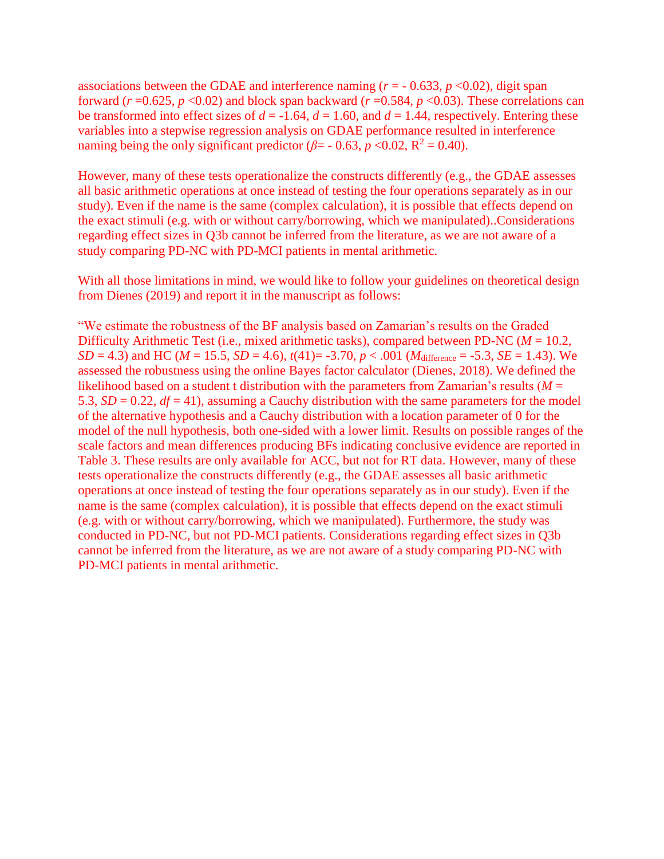associations between the GDAE and interference naming ( $r = -0.633$ ,  $p < 0.02$ ), digit span forward ( $r = 0.625$ ,  $p < 0.02$ ) and block span backward ( $r = 0.584$ ,  $p < 0.03$ ). These correlations can be transformed into effect sizes of  $d = -1.64$ ,  $d = 1.60$ , and  $d = 1.44$ , respectively. Entering these variables into a stepwise regression analysis on GDAE performance resulted in interference naming being the only significant predictor ( $\beta$ = - 0.63, *p* <0.02, R<sup>2</sup> = 0.40).

However, many of these tests operationalize the constructs differently (e.g., the GDAE assesses all basic arithmetic operations at once instead of testing the four operations separately as in our study). Even if the name is the same (complex calculation), it is possible that effects depend on the exact stimuli (e.g. with or without carry/borrowing, which we manipulated)..Considerations regarding effect sizes in Q3b cannot be inferred from the literature, as we are not aware of a study comparing PD-NC with PD-MCI patients in mental arithmetic.

With all those limitations in mind, we would like to follow your guidelines on theoretical design from Dienes (2019) and report it in the manuscript as follows:

"We estimate the robustness of the BF analysis based on Zamarian's results on the Graded Difficulty Arithmetic Test (i.e., mixed arithmetic tasks), compared between PD-NC (*M* = 10.2, *SD* = 4.3) and HC ( $M = 15.5$ ,  $SD = 4.6$ ),  $t(41) = -3.70$ ,  $p < .001$  ( $M<sub>difference</sub> = -5.3$ ,  $SE = 1.43$ ). We assessed the robustness using the online Bayes factor calculator (Dienes, 2018). We defined the likelihood based on a student t distribution with the parameters from Zamarian's results (*M* = 5.3, *SD* = 0.22, *df* = 41), assuming a Cauchy distribution with the same parameters for the model of the alternative hypothesis and a Cauchy distribution with a location parameter of 0 for the model of the null hypothesis, both one-sided with a lower limit. Results on possible ranges of the scale factors and mean differences producing BFs indicating conclusive evidence are reported in Table 3. These results are only available for ACC, but not for RT data. However, many of these tests operationalize the constructs differently (e.g., the GDAE assesses all basic arithmetic operations at once instead of testing the four operations separately as in our study). Even if the name is the same (complex calculation), it is possible that effects depend on the exact stimuli (e.g. with or without carry/borrowing, which we manipulated). Furthermore, the study was conducted in PD-NC, but not PD-MCI patients. Considerations regarding effect sizes in Q3b cannot be inferred from the literature, as we are not aware of a study comparing PD-NC with PD-MCI patients in mental arithmetic.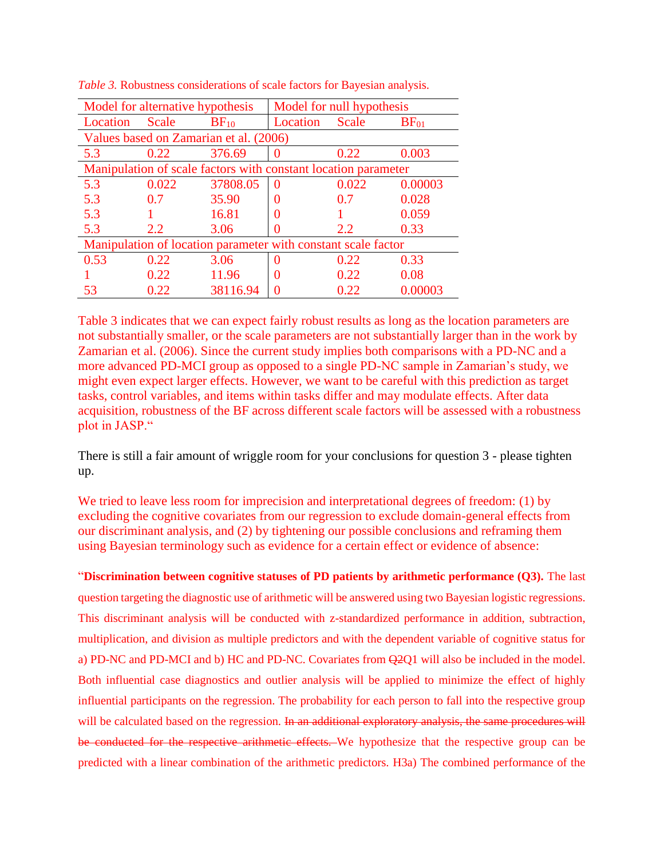| Model for alternative hypothesis                               |              |           | Model for null hypothesis |              |                  |
|----------------------------------------------------------------|--------------|-----------|---------------------------|--------------|------------------|
| Location                                                       | <b>Scale</b> | $BF_{10}$ | Location                  | <b>Scale</b> | BF <sub>01</sub> |
| Values based on Zamarian et al. (2006)                         |              |           |                           |              |                  |
| 5.3                                                            | 0.22         | 376.69    | $\Omega$                  | 0.22         | 0.003            |
| Manipulation of scale factors with constant location parameter |              |           |                           |              |                  |
| 5.3                                                            | 0.022        | 37808.05  | 0                         | 0.022        | 0.00003          |
| 5.3                                                            | 0.7          | 35.90     | 0                         | 0.7          | 0.028            |
| 5.3                                                            |              | 16.81     |                           |              | 0.059            |
| 5.3                                                            | 2.2          | 3.06      |                           | 2.2          | 0.33             |
| Manipulation of location parameter with constant scale factor  |              |           |                           |              |                  |
| 0.53                                                           | 0.22         | 3.06      | 0                         | 0.22         | 0.33             |
|                                                                | 0.22         | 11.96     | 0                         | 0.22         | 0.08             |
| 53                                                             | 0.22         | 38116.94  |                           | 0.22         | 0.00003          |

*Table 3.* Robustness considerations of scale factors for Bayesian analysis.

Table 3 indicates that we can expect fairly robust results as long as the location parameters are not substantially smaller, or the scale parameters are not substantially larger than in the work by Zamarian et al. (2006). Since the current study implies both comparisons with a PD-NC and a more advanced PD-MCI group as opposed to a single PD-NC sample in Zamarian's study, we might even expect larger effects. However, we want to be careful with this prediction as target tasks, control variables, and items within tasks differ and may modulate effects. After data acquisition, robustness of the BF across different scale factors will be assessed with a robustness plot in JASP."

There is still a fair amount of wriggle room for your conclusions for question 3 - please tighten up.

We tried to leave less room for imprecision and interpretational degrees of freedom: (1) by excluding the cognitive covariates from our regression to exclude domain-general effects from our discriminant analysis, and (2) by tightening our possible conclusions and reframing them using Bayesian terminology such as evidence for a certain effect or evidence of absence:

"**Discrimination between cognitive statuses of PD patients by arithmetic performance (Q3).** The last question targeting the diagnostic use of arithmetic will be answered using two Bayesian logistic regressions. This discriminant analysis will be conducted with z-standardized performance in addition, subtraction, multiplication, and division as multiple predictors and with the dependent variable of cognitive status for a) PD-NC and PD-MCI and b) HC and PD-NC. Covariates from Q2Q1 will also be included in the model. Both influential case diagnostics and outlier analysis will be applied to minimize the effect of highly influential participants on the regression. The probability for each person to fall into the respective group will be calculated based on the regression. In an additional exploratory analysis, the same procedures will be conducted for the respective arithmetic effects. We hypothesize that the respective group can be predicted with a linear combination of the arithmetic predictors. H3a) The combined performance of the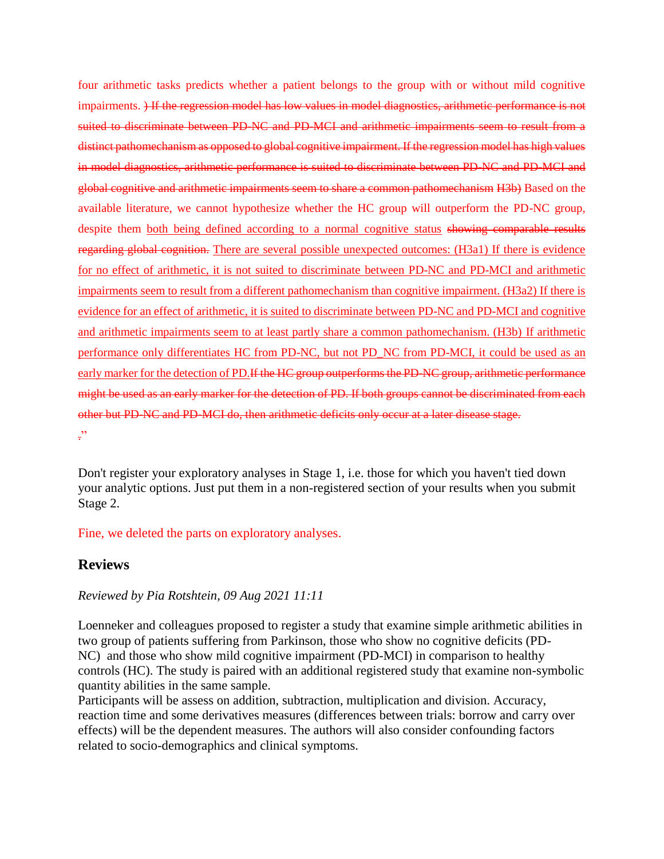four arithmetic tasks predicts whether a patient belongs to the group with or without mild cognitive impairments. He the regression model has low values in model diagnostics, arithmetic performance is not suited to discriminate between PD-NC and PD-MCI and arithmetic impairments seem to result from a distinct pathomechanism as opposed to global cognitive impairment. If the regression model has high values in model diagnostics, arithmetic performance is suited to discriminate between PD-NC and PD-MCI and global cognitive and arithmetic impairments seem to share a common pathomechanism H3b) Based on the available literature, we cannot hypothesize whether the HC group will outperform the PD-NC group, despite them both being defined according to a normal cognitive status showing comparable results regarding global cognition. There are several possible unexpected outcomes: (H3a1) If there is evidence for no effect of arithmetic, it is not suited to discriminate between PD-NC and PD-MCI and arithmetic impairments seem to result from a different pathomechanism than cognitive impairment. (H3a2) If there is evidence for an effect of arithmetic, it is suited to discriminate between PD-NC and PD-MCI and cognitive and arithmetic impairments seem to at least partly share a common pathomechanism. (H3b) If arithmetic performance only differentiates HC from PD-NC, but not PD\_NC from PD-MCI, it could be used as an early marker for the detection of PD. If the HC group outperforms the PD-NC group, arithmetic performance might be used as an early marker for the detection of PD. If both groups cannot be discriminated from each other but PD-NC and PD-MCI do, then arithmetic deficits only occur at a later disease stage.  $\cdot$ "

Don't register your exploratory analyses in Stage 1, i.e. those for which you haven't tied down your analytic options. Just put them in a non-registered section of your results when you submit Stage 2.

Fine, we deleted the parts on exploratory analyses.

# **Reviews**

## *Reviewed by Pia Rotshtein, 09 Aug 2021 11:11*

Loenneker and colleagues proposed to register a study that examine simple arithmetic abilities in two group of patients suffering from Parkinson, those who show no cognitive deficits (PD-NC) and those who show mild cognitive impairment (PD-MCI) in comparison to healthy controls (HC). The study is paired with an additional registered study that examine non-symbolic quantity abilities in the same sample.

Participants will be assess on addition, subtraction, multiplication and division. Accuracy, reaction time and some derivatives measures (differences between trials: borrow and carry over effects) will be the dependent measures. The authors will also consider confounding factors related to socio-demographics and clinical symptoms.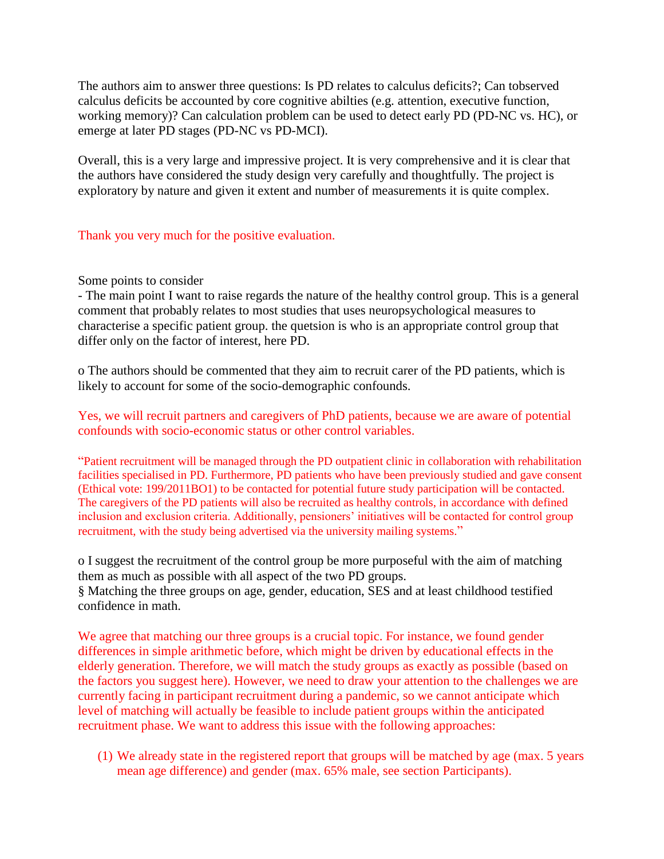The authors aim to answer three questions: Is PD relates to calculus deficits?; Can tobserved calculus deficits be accounted by core cognitive abilties (e.g. attention, executive function, working memory)? Can calculation problem can be used to detect early PD (PD-NC vs. HC), or emerge at later PD stages (PD-NC vs PD-MCI).

Overall, this is a very large and impressive project. It is very comprehensive and it is clear that the authors have considered the study design very carefully and thoughtfully. The project is exploratory by nature and given it extent and number of measurements it is quite complex.

Thank you very much for the positive evaluation.

#### Some points to consider

- The main point I want to raise regards the nature of the healthy control group. This is a general comment that probably relates to most studies that uses neuropsychological measures to characterise a specific patient group. the quetsion is who is an appropriate control group that differ only on the factor of interest, here PD.

o The authors should be commented that they aim to recruit carer of the PD patients, which is likely to account for some of the socio-demographic confounds.

Yes, we will recruit partners and caregivers of PhD patients, because we are aware of potential confounds with socio-economic status or other control variables.

"Patient recruitment will be managed through the PD outpatient clinic in collaboration with rehabilitation facilities specialised in PD. Furthermore, PD patients who have been previously studied and gave consent (Ethical vote: 199/2011BO1) to be contacted for potential future study participation will be contacted. The caregivers of the PD patients will also be recruited as healthy controls, in accordance with defined inclusion and exclusion criteria. Additionally, pensioners' initiatives will be contacted for control group recruitment, with the study being advertised via the university mailing systems."

o I suggest the recruitment of the control group be more purposeful with the aim of matching them as much as possible with all aspect of the two PD groups. § Matching the three groups on age, gender, education, SES and at least childhood testified confidence in math.

We agree that matching our three groups is a crucial topic. For instance, we found gender differences in simple arithmetic before, which might be driven by educational effects in the elderly generation. Therefore, we will match the study groups as exactly as possible (based on the factors you suggest here). However, we need to draw your attention to the challenges we are currently facing in participant recruitment during a pandemic, so we cannot anticipate which level of matching will actually be feasible to include patient groups within the anticipated recruitment phase. We want to address this issue with the following approaches:

(1) We already state in the registered report that groups will be matched by age (max. 5 years mean age difference) and gender (max. 65% male, see section Participants).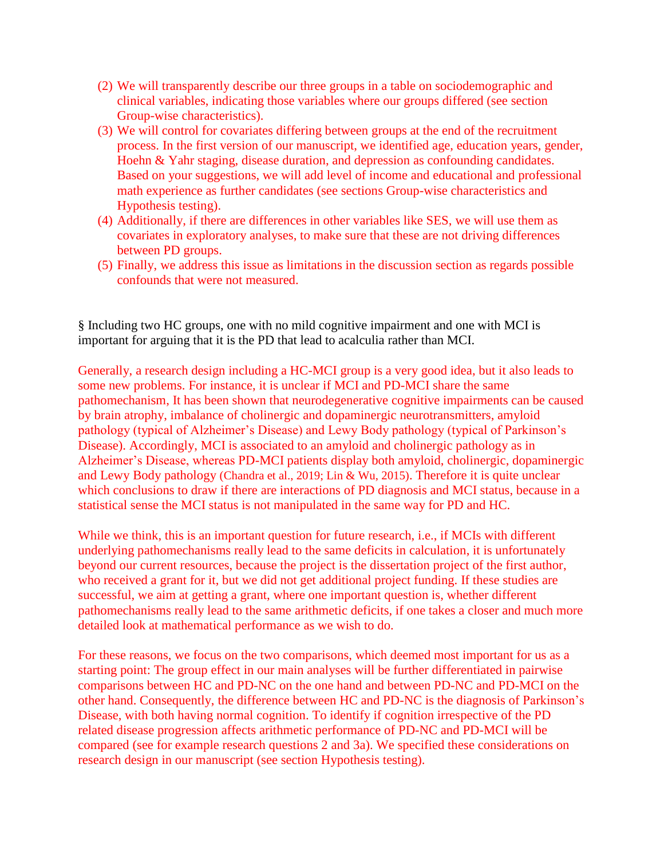- (2) We will transparently describe our three groups in a table on sociodemographic and clinical variables, indicating those variables where our groups differed (see section Group-wise characteristics).
- (3) We will control for covariates differing between groups at the end of the recruitment process. In the first version of our manuscript, we identified age, education years, gender, Hoehn & Yahr staging, disease duration, and depression as confounding candidates. Based on your suggestions, we will add level of income and educational and professional math experience as further candidates (see sections Group-wise characteristics and Hypothesis testing).
- (4) Additionally, if there are differences in other variables like SES, we will use them as covariates in exploratory analyses, to make sure that these are not driving differences between PD groups.
- (5) Finally, we address this issue as limitations in the discussion section as regards possible confounds that were not measured.

§ Including two HC groups, one with no mild cognitive impairment and one with MCI is important for arguing that it is the PD that lead to acalculia rather than MCI.

Generally, a research design including a HC-MCI group is a very good idea, but it also leads to some new problems. For instance, it is unclear if MCI and PD-MCI share the same pathomechanism, It has been shown that neurodegenerative cognitive impairments can be caused by brain atrophy, imbalance of cholinergic and dopaminergic neurotransmitters, amyloid pathology (typical of Alzheimer's Disease) and Lewy Body pathology (typical of Parkinson's Disease). Accordingly, MCI is associated to an amyloid and cholinergic pathology as in Alzheimer's Disease, whereas PD-MCI patients display both amyloid, cholinergic, dopaminergic and Lewy Body pathology (Chandra et al., 2019; Lin & Wu, 2015). Therefore it is quite unclear which conclusions to draw if there are interactions of PD diagnosis and MCI status, because in a statistical sense the MCI status is not manipulated in the same way for PD and HC.

While we think, this is an important question for future research, i.e., if MCIs with different underlying pathomechanisms really lead to the same deficits in calculation, it is unfortunately beyond our current resources, because the project is the dissertation project of the first author, who received a grant for it, but we did not get additional project funding. If these studies are successful, we aim at getting a grant, where one important question is, whether different pathomechanisms really lead to the same arithmetic deficits, if one takes a closer and much more detailed look at mathematical performance as we wish to do.

For these reasons, we focus on the two comparisons, which deemed most important for us as a starting point: The group effect in our main analyses will be further differentiated in pairwise comparisons between HC and PD-NC on the one hand and between PD-NC and PD-MCI on the other hand. Consequently, the difference between HC and PD-NC is the diagnosis of Parkinson's Disease, with both having normal cognition. To identify if cognition irrespective of the PD related disease progression affects arithmetic performance of PD-NC and PD-MCI will be compared (see for example research questions 2 and 3a). We specified these considerations on research design in our manuscript (see section Hypothesis testing).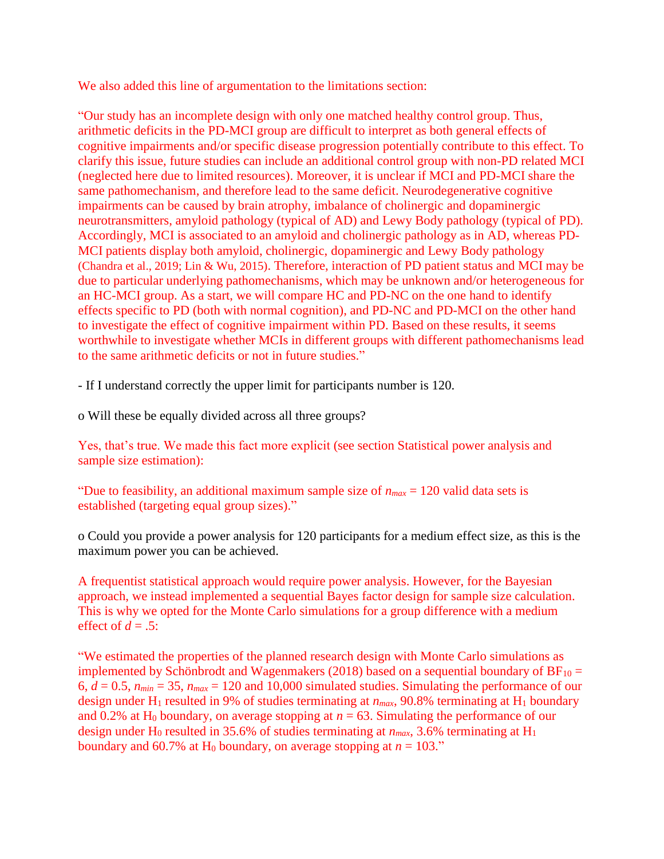We also added this line of argumentation to the limitations section:

"Our study has an incomplete design with only one matched healthy control group. Thus, arithmetic deficits in the PD-MCI group are difficult to interpret as both general effects of cognitive impairments and/or specific disease progression potentially contribute to this effect. To clarify this issue, future studies can include an additional control group with non-PD related MCI (neglected here due to limited resources). Moreover, it is unclear if MCI and PD-MCI share the same pathomechanism, and therefore lead to the same deficit. Neurodegenerative cognitive impairments can be caused by brain atrophy, imbalance of cholinergic and dopaminergic neurotransmitters, amyloid pathology (typical of AD) and Lewy Body pathology (typical of PD). Accordingly, MCI is associated to an amyloid and cholinergic pathology as in AD, whereas PD-MCI patients display both amyloid, cholinergic, dopaminergic and Lewy Body pathology (Chandra et al., 2019; Lin & Wu, 2015). Therefore, interaction of PD patient status and MCI may be due to particular underlying pathomechanisms, which may be unknown and/or heterogeneous for an HC-MCI group. As a start, we will compare HC and PD-NC on the one hand to identify effects specific to PD (both with normal cognition), and PD-NC and PD-MCI on the other hand to investigate the effect of cognitive impairment within PD. Based on these results, it seems worthwhile to investigate whether MCIs in different groups with different pathomechanisms lead to the same arithmetic deficits or not in future studies."

- If I understand correctly the upper limit for participants number is 120.

o Will these be equally divided across all three groups?

Yes, that's true. We made this fact more explicit (see section Statistical power analysis and sample size estimation):

"Due to feasibility, an additional maximum sample size of  $n_{max} = 120$  valid data sets is established (targeting equal group sizes)."

o Could you provide a power analysis for 120 participants for a medium effect size, as this is the maximum power you can be achieved.

A frequentist statistical approach would require power analysis. However, for the Bayesian approach, we instead implemented a sequential Bayes factor design for sample size calculation. This is why we opted for the Monte Carlo simulations for a group difference with a medium effect of  $d = .5$ :

"We estimated the properties of the planned research design with Monte Carlo simulations as implemented by Schönbrodt and Wagenmakers (2018) based on a sequential boundary of  $BF_{10} =$ 6,  $d = 0.5$ ,  $n_{min} = 35$ ,  $n_{max} = 120$  and 10,000 simulated studies. Simulating the performance of our design under H<sub>1</sub> resulted in 9% of studies terminating at  $n_{max}$ , 90.8% terminating at H<sub>1</sub> boundary and 0.2% at  $H_0$  boundary, on average stopping at  $n = 63$ . Simulating the performance of our design under H<sub>0</sub> resulted in 35.6% of studies terminating at  $n_{max}$ , 3.6% terminating at H<sub>1</sub> boundary and 60.7% at H<sub>0</sub> boundary, on average stopping at  $n = 103$ ."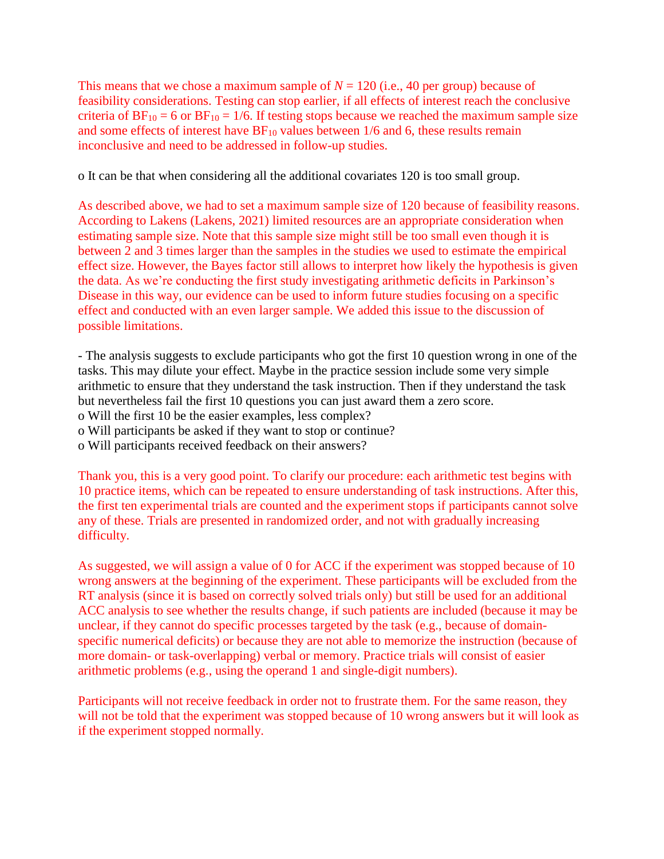This means that we chose a maximum sample of  $N = 120$  (i.e., 40 per group) because of feasibility considerations. Testing can stop earlier, if all effects of interest reach the conclusive criteria of  $BF_{10} = 6$  or  $BF_{10} = 1/6$ . If testing stops because we reached the maximum sample size and some effects of interest have  $BF_{10}$  values between 1/6 and 6, these results remain inconclusive and need to be addressed in follow-up studies.

o It can be that when considering all the additional covariates 120 is too small group.

As described above, we had to set a maximum sample size of 120 because of feasibility reasons. According to Lakens (Lakens, 2021) limited resources are an appropriate consideration when estimating sample size. Note that this sample size might still be too small even though it is between 2 and 3 times larger than the samples in the studies we used to estimate the empirical effect size. However, the Bayes factor still allows to interpret how likely the hypothesis is given the data. As we're conducting the first study investigating arithmetic deficits in Parkinson's Disease in this way, our evidence can be used to inform future studies focusing on a specific effect and conducted with an even larger sample. We added this issue to the discussion of possible limitations.

- The analysis suggests to exclude participants who got the first 10 question wrong in one of the tasks. This may dilute your effect. Maybe in the practice session include some very simple arithmetic to ensure that they understand the task instruction. Then if they understand the task but nevertheless fail the first 10 questions you can just award them a zero score.

o Will the first 10 be the easier examples, less complex?

o Will participants be asked if they want to stop or continue?

o Will participants received feedback on their answers?

Thank you, this is a very good point. To clarify our procedure: each arithmetic test begins with 10 practice items, which can be repeated to ensure understanding of task instructions. After this, the first ten experimental trials are counted and the experiment stops if participants cannot solve any of these. Trials are presented in randomized order, and not with gradually increasing difficulty.

As suggested, we will assign a value of 0 for ACC if the experiment was stopped because of 10 wrong answers at the beginning of the experiment. These participants will be excluded from the RT analysis (since it is based on correctly solved trials only) but still be used for an additional ACC analysis to see whether the results change, if such patients are included (because it may be unclear, if they cannot do specific processes targeted by the task (e.g., because of domainspecific numerical deficits) or because they are not able to memorize the instruction (because of more domain- or task-overlapping) verbal or memory. Practice trials will consist of easier arithmetic problems (e.g., using the operand 1 and single-digit numbers).

Participants will not receive feedback in order not to frustrate them. For the same reason, they will not be told that the experiment was stopped because of 10 wrong answers but it will look as if the experiment stopped normally.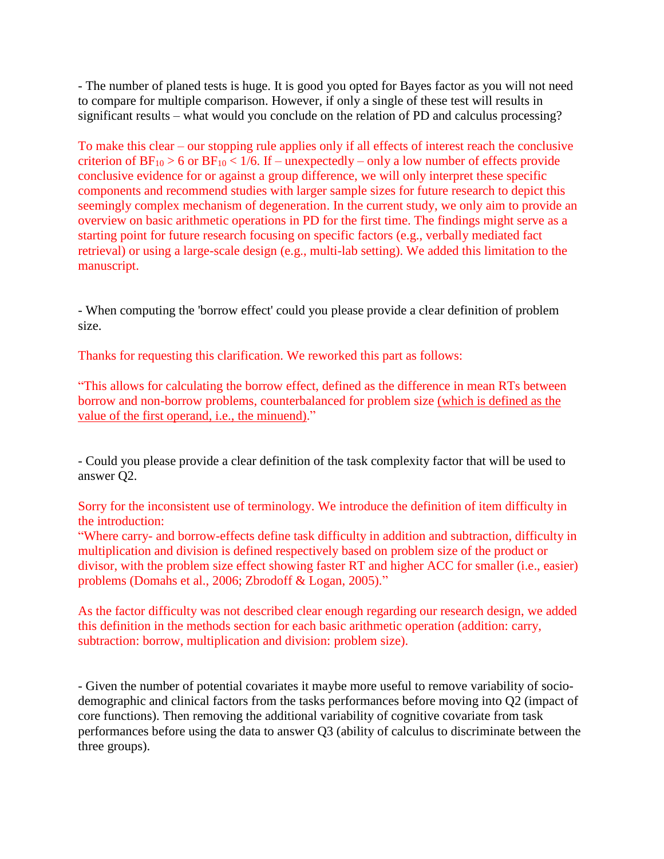- The number of planed tests is huge. It is good you opted for Bayes factor as you will not need to compare for multiple comparison. However, if only a single of these test will results in significant results – what would you conclude on the relation of PD and calculus processing?

To make this clear – our stopping rule applies only if all effects of interest reach the conclusive criterion of  $BF_{10} > 6$  or  $BF_{10} < 1/6$ . If – unexpectedly – only a low number of effects provide conclusive evidence for or against a group difference, we will only interpret these specific components and recommend studies with larger sample sizes for future research to depict this seemingly complex mechanism of degeneration. In the current study, we only aim to provide an overview on basic arithmetic operations in PD for the first time. The findings might serve as a starting point for future research focusing on specific factors (e.g., verbally mediated fact retrieval) or using a large-scale design (e.g., multi-lab setting). We added this limitation to the manuscript.

- When computing the 'borrow effect' could you please provide a clear definition of problem size.

Thanks for requesting this clarification. We reworked this part as follows:

"This allows for calculating the borrow effect, defined as the difference in mean RTs between borrow and non-borrow problems, counterbalanced for problem size (which is defined as the value of the first operand, i.e., the minuend)."

- Could you please provide a clear definition of the task complexity factor that will be used to answer Q2.

Sorry for the inconsistent use of terminology. We introduce the definition of item difficulty in the introduction:

"Where carry- and borrow-effects define task difficulty in addition and subtraction, difficulty in multiplication and division is defined respectively based on problem size of the product or divisor, with the problem size effect showing faster RT and higher ACC for smaller (i.e., easier) problems (Domahs et al., 2006; Zbrodoff & Logan, 2005)."

As the factor difficulty was not described clear enough regarding our research design, we added this definition in the methods section for each basic arithmetic operation (addition: carry, subtraction: borrow, multiplication and division: problem size).

- Given the number of potential covariates it maybe more useful to remove variability of sociodemographic and clinical factors from the tasks performances before moving into Q2 (impact of core functions). Then removing the additional variability of cognitive covariate from task performances before using the data to answer Q3 (ability of calculus to discriminate between the three groups).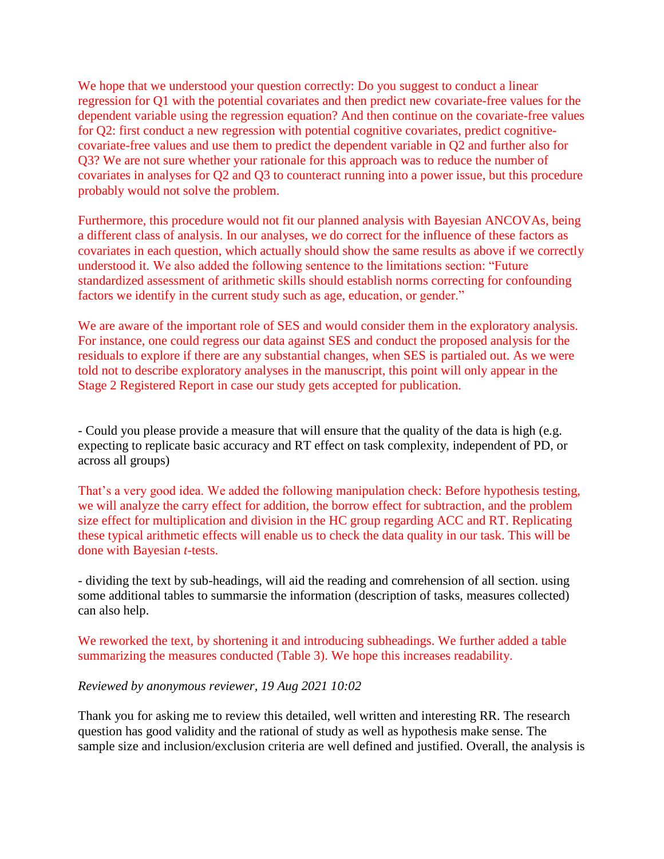We hope that we understood your question correctly: Do you suggest to conduct a linear regression for Q1 with the potential covariates and then predict new covariate-free values for the dependent variable using the regression equation? And then continue on the covariate-free values for Q2: first conduct a new regression with potential cognitive covariates, predict cognitivecovariate-free values and use them to predict the dependent variable in Q2 and further also for Q3? We are not sure whether your rationale for this approach was to reduce the number of covariates in analyses for Q2 and Q3 to counteract running into a power issue, but this procedure probably would not solve the problem.

Furthermore, this procedure would not fit our planned analysis with Bayesian ANCOVAs, being a different class of analysis. In our analyses, we do correct for the influence of these factors as covariates in each question, which actually should show the same results as above if we correctly understood it. We also added the following sentence to the limitations section: "Future standardized assessment of arithmetic skills should establish norms correcting for confounding factors we identify in the current study such as age, education, or gender."

We are aware of the important role of SES and would consider them in the exploratory analysis. For instance, one could regress our data against SES and conduct the proposed analysis for the residuals to explore if there are any substantial changes, when SES is partialed out. As we were told not to describe exploratory analyses in the manuscript, this point will only appear in the Stage 2 Registered Report in case our study gets accepted for publication.

- Could you please provide a measure that will ensure that the quality of the data is high (e.g. expecting to replicate basic accuracy and RT effect on task complexity, independent of PD, or across all groups)

That's a very good idea. We added the following manipulation check: Before hypothesis testing, we will analyze the carry effect for addition, the borrow effect for subtraction, and the problem size effect for multiplication and division in the HC group regarding ACC and RT. Replicating these typical arithmetic effects will enable us to check the data quality in our task. This will be done with Bayesian *t*-tests.

- dividing the text by sub-headings, will aid the reading and comrehension of all section. using some additional tables to summarsie the information (description of tasks, measures collected) can also help.

We reworked the text, by shortening it and introducing subheadings. We further added a table summarizing the measures conducted (Table 3). We hope this increases readability.

### *Reviewed by anonymous reviewer, 19 Aug 2021 10:02*

Thank you for asking me to review this detailed, well written and interesting RR. The research question has good validity and the rational of study as well as hypothesis make sense. The sample size and inclusion/exclusion criteria are well defined and justified. Overall, the analysis is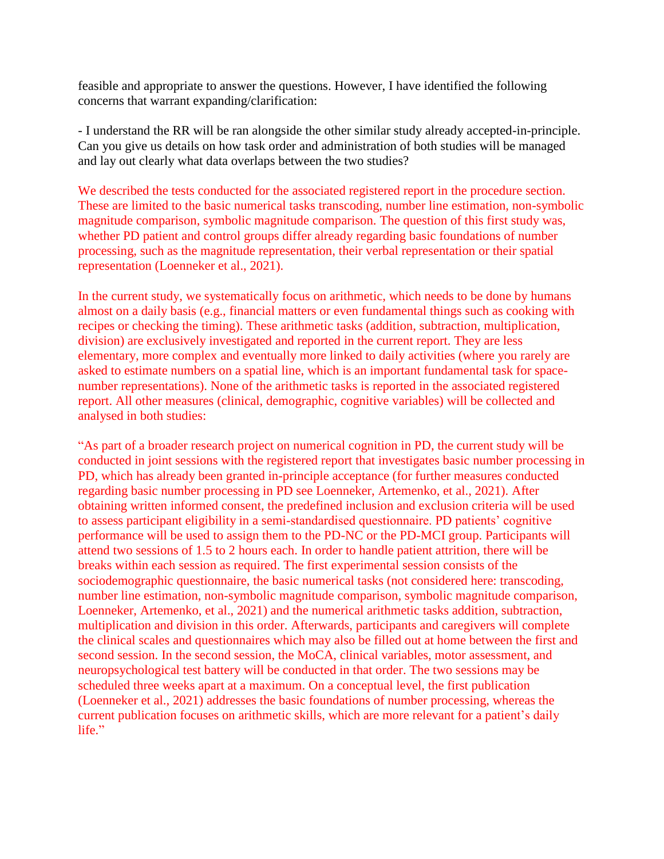feasible and appropriate to answer the questions. However, I have identified the following concerns that warrant expanding/clarification:

- I understand the RR will be ran alongside the other similar study already accepted-in-principle. Can you give us details on how task order and administration of both studies will be managed and lay out clearly what data overlaps between the two studies?

We described the tests conducted for the associated registered report in the procedure section. These are limited to the basic numerical tasks transcoding, number line estimation, non-symbolic magnitude comparison, symbolic magnitude comparison. The question of this first study was, whether PD patient and control groups differ already regarding basic foundations of number processing, such as the magnitude representation, their verbal representation or their spatial representation (Loenneker et al., 2021).

In the current study, we systematically focus on arithmetic, which needs to be done by humans almost on a daily basis (e.g., financial matters or even fundamental things such as cooking with recipes or checking the timing). These arithmetic tasks (addition, subtraction, multiplication, division) are exclusively investigated and reported in the current report. They are less elementary, more complex and eventually more linked to daily activities (where you rarely are asked to estimate numbers on a spatial line, which is an important fundamental task for spacenumber representations). None of the arithmetic tasks is reported in the associated registered report. All other measures (clinical, demographic, cognitive variables) will be collected and analysed in both studies:

"As part of a broader research project on numerical cognition in PD, the current study will be conducted in joint sessions with the registered report that investigates basic number processing in PD, which has already been granted in-principle acceptance (for further measures conducted regarding basic number processing in PD see Loenneker, Artemenko, et al., 2021). After obtaining written informed consent, the predefined inclusion and exclusion criteria will be used to assess participant eligibility in a semi-standardised questionnaire. PD patients' cognitive performance will be used to assign them to the PD-NC or the PD-MCI group. Participants will attend two sessions of 1.5 to 2 hours each. In order to handle patient attrition, there will be breaks within each session as required. The first experimental session consists of the sociodemographic questionnaire, the basic numerical tasks (not considered here: transcoding, number line estimation, non-symbolic magnitude comparison, symbolic magnitude comparison, Loenneker, Artemenko, et al., 2021) and the numerical arithmetic tasks addition, subtraction, multiplication and division in this order. Afterwards, participants and caregivers will complete the clinical scales and questionnaires which may also be filled out at home between the first and second session. In the second session, the MoCA, clinical variables, motor assessment, and neuropsychological test battery will be conducted in that order. The two sessions may be scheduled three weeks apart at a maximum. On a conceptual level, the first publication (Loenneker et al., 2021) addresses the basic foundations of number processing, whereas the current publication focuses on arithmetic skills, which are more relevant for a patient's daily life."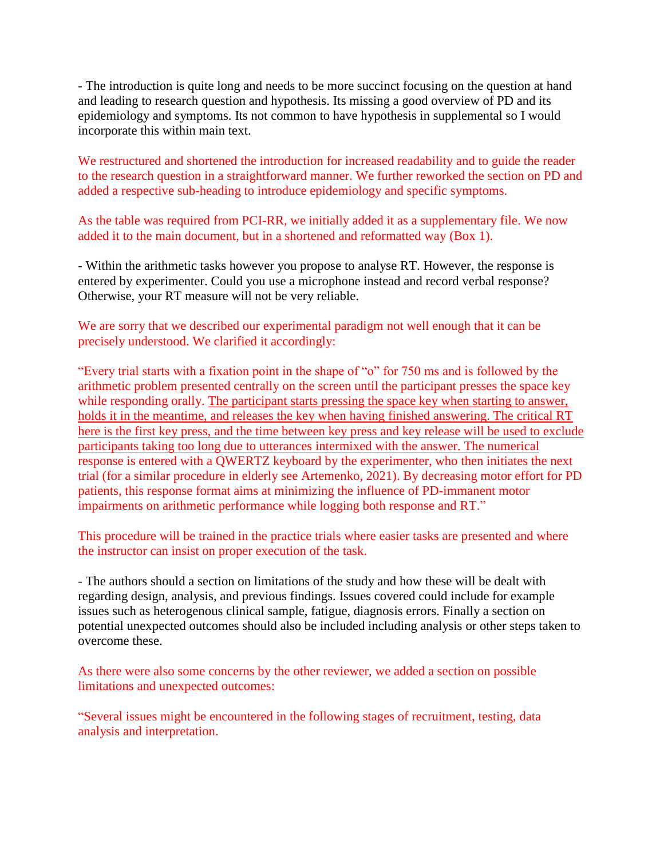- The introduction is quite long and needs to be more succinct focusing on the question at hand and leading to research question and hypothesis. Its missing a good overview of PD and its epidemiology and symptoms. Its not common to have hypothesis in supplemental so I would incorporate this within main text.

We restructured and shortened the introduction for increased readability and to guide the reader to the research question in a straightforward manner. We further reworked the section on PD and added a respective sub-heading to introduce epidemiology and specific symptoms.

As the table was required from PCI-RR, we initially added it as a supplementary file. We now added it to the main document, but in a shortened and reformatted way (Box 1).

- Within the arithmetic tasks however you propose to analyse RT. However, the response is entered by experimenter. Could you use a microphone instead and record verbal response? Otherwise, your RT measure will not be very reliable.

We are sorry that we described our experimental paradigm not well enough that it can be precisely understood. We clarified it accordingly:

"Every trial starts with a fixation point in the shape of "o" for 750 ms and is followed by the arithmetic problem presented centrally on the screen until the participant presses the space key while responding orally. The participant starts pressing the space key when starting to answer, holds it in the meantime, and releases the key when having finished answering. The critical RT here is the first key press, and the time between key press and key release will be used to exclude participants taking too long due to utterances intermixed with the answer. The numerical response is entered with a QWERTZ keyboard by the experimenter, who then initiates the next trial (for a similar procedure in elderly see Artemenko, 2021). By decreasing motor effort for PD patients, this response format aims at minimizing the influence of PD-immanent motor impairments on arithmetic performance while logging both response and RT."

This procedure will be trained in the practice trials where easier tasks are presented and where the instructor can insist on proper execution of the task.

- The authors should a section on limitations of the study and how these will be dealt with regarding design, analysis, and previous findings. Issues covered could include for example issues such as heterogenous clinical sample, fatigue, diagnosis errors. Finally a section on potential unexpected outcomes should also be included including analysis or other steps taken to overcome these.

As there were also some concerns by the other reviewer, we added a section on possible limitations and unexpected outcomes:

"Several issues might be encountered in the following stages of recruitment, testing, data analysis and interpretation.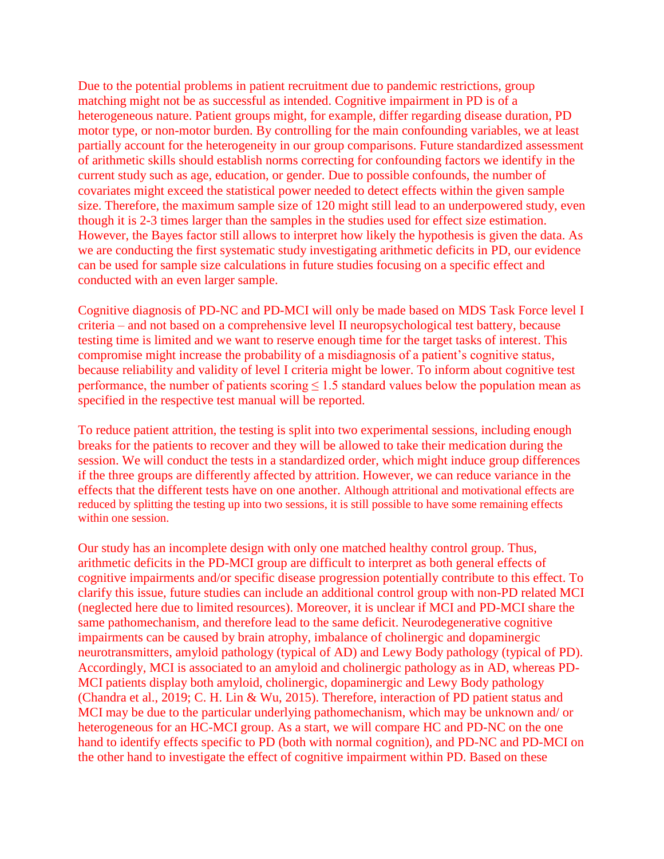Due to the potential problems in patient recruitment due to pandemic restrictions, group matching might not be as successful as intended. Cognitive impairment in PD is of a heterogeneous nature. Patient groups might, for example, differ regarding disease duration, PD motor type, or non-motor burden. By controlling for the main confounding variables, we at least partially account for the heterogeneity in our group comparisons. Future standardized assessment of arithmetic skills should establish norms correcting for confounding factors we identify in the current study such as age, education, or gender. Due to possible confounds, the number of covariates might exceed the statistical power needed to detect effects within the given sample size. Therefore, the maximum sample size of 120 might still lead to an underpowered study, even though it is 2-3 times larger than the samples in the studies used for effect size estimation. However, the Bayes factor still allows to interpret how likely the hypothesis is given the data. As we are conducting the first systematic study investigating arithmetic deficits in PD, our evidence can be used for sample size calculations in future studies focusing on a specific effect and conducted with an even larger sample.

Cognitive diagnosis of PD-NC and PD-MCI will only be made based on MDS Task Force level I criteria – and not based on a comprehensive level II neuropsychological test battery, because testing time is limited and we want to reserve enough time for the target tasks of interest. This compromise might increase the probability of a misdiagnosis of a patient's cognitive status, because reliability and validity of level I criteria might be lower. To inform about cognitive test performance, the number of patients scoring  $\leq 1.5$  standard values below the population mean as specified in the respective test manual will be reported.

To reduce patient attrition, the testing is split into two experimental sessions, including enough breaks for the patients to recover and they will be allowed to take their medication during the session. We will conduct the tests in a standardized order, which might induce group differences if the three groups are differently affected by attrition. However, we can reduce variance in the effects that the different tests have on one another. Although attritional and motivational effects are reduced by splitting the testing up into two sessions, it is still possible to have some remaining effects within one session.

Our study has an incomplete design with only one matched healthy control group. Thus, arithmetic deficits in the PD-MCI group are difficult to interpret as both general effects of cognitive impairments and/or specific disease progression potentially contribute to this effect. To clarify this issue, future studies can include an additional control group with non-PD related MCI (neglected here due to limited resources). Moreover, it is unclear if MCI and PD-MCI share the same pathomechanism, and therefore lead to the same deficit. Neurodegenerative cognitive impairments can be caused by brain atrophy, imbalance of cholinergic and dopaminergic neurotransmitters, amyloid pathology (typical of AD) and Lewy Body pathology (typical of PD). Accordingly, MCI is associated to an amyloid and cholinergic pathology as in AD, whereas PD-MCI patients display both amyloid, cholinergic, dopaminergic and Lewy Body pathology (Chandra et al., 2019; C. H. Lin & Wu, 2015). Therefore, interaction of PD patient status and MCI may be due to the particular underlying pathomechanism, which may be unknown and/ or heterogeneous for an HC-MCI group. As a start, we will compare HC and PD-NC on the one hand to identify effects specific to PD (both with normal cognition), and PD-NC and PD-MCI on the other hand to investigate the effect of cognitive impairment within PD. Based on these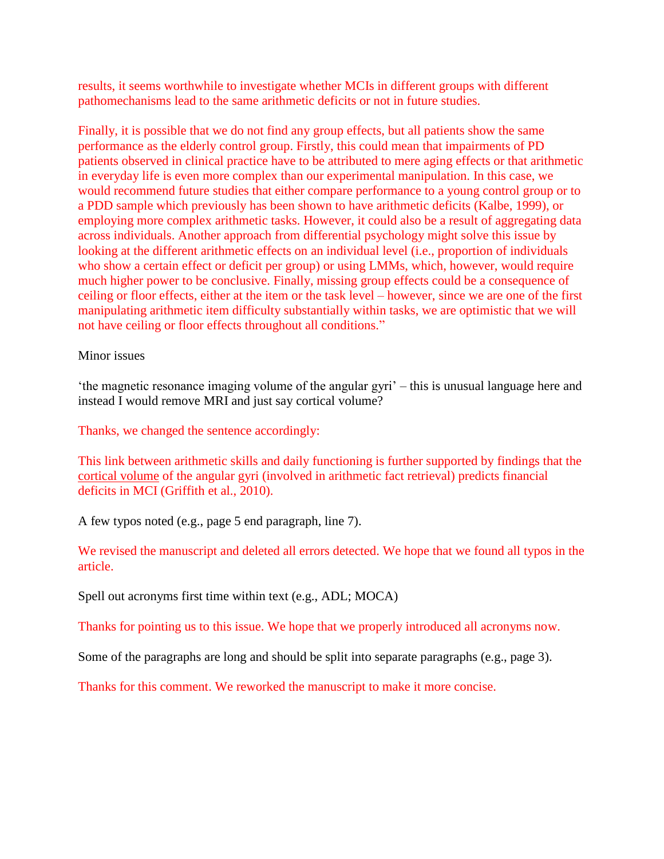results, it seems worthwhile to investigate whether MCIs in different groups with different pathomechanisms lead to the same arithmetic deficits or not in future studies.

Finally, it is possible that we do not find any group effects, but all patients show the same performance as the elderly control group. Firstly, this could mean that impairments of PD patients observed in clinical practice have to be attributed to mere aging effects or that arithmetic in everyday life is even more complex than our experimental manipulation. In this case, we would recommend future studies that either compare performance to a young control group or to a PDD sample which previously has been shown to have arithmetic deficits (Kalbe, 1999), or employing more complex arithmetic tasks. However, it could also be a result of aggregating data across individuals. Another approach from differential psychology might solve this issue by looking at the different arithmetic effects on an individual level (i.e., proportion of individuals who show a certain effect or deficit per group) or using LMMs, which, however, would require much higher power to be conclusive. Finally, missing group effects could be a consequence of ceiling or floor effects, either at the item or the task level – however, since we are one of the first manipulating arithmetic item difficulty substantially within tasks, we are optimistic that we will not have ceiling or floor effects throughout all conditions."

Minor issues

'the magnetic resonance imaging volume of the angular gyri' – this is unusual language here and instead I would remove MRI and just say cortical volume?

Thanks, we changed the sentence accordingly:

This link between arithmetic skills and daily functioning is further supported by findings that the cortical volume of the angular gyri (involved in arithmetic fact retrieval) predicts financial deficits in MCI (Griffith et al., 2010).

A few typos noted (e.g., page 5 end paragraph, line 7).

We revised the manuscript and deleted all errors detected. We hope that we found all typos in the article.

Spell out acronyms first time within text (e.g., ADL; MOCA)

Thanks for pointing us to this issue. We hope that we properly introduced all acronyms now.

Some of the paragraphs are long and should be split into separate paragraphs (e.g., page 3).

Thanks for this comment. We reworked the manuscript to make it more concise.